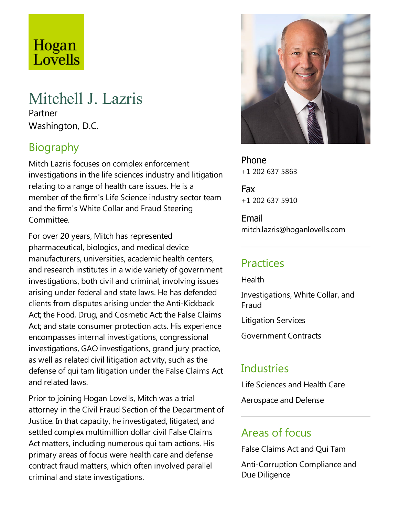# Hogan Lovells

## Mitchell J. Lazris

Partner Washington, D.C.

## Biography

Mitch Lazris focuses on complex enforcement investigations in the life sciences industry and litigation relating to a range of health care issues. He is a member of the firm's Life Science industry sector team and the firm's White Collar and Fraud Steering Committee.

For over 20 years, Mitch has represented pharmaceutical, biologics,and medical device manufacturers, universities, academic health centers, and research institutes in a wide variety of government investigations, both civil and criminal, involving issues arising under federal and statelaws. He has defended clients from disputes arising under the Anti-Kickback Act; the Food, Drug, and Cosmetic Act; the False Claims Act; and state consumer protection acts. His experience encompasses internal investigations, congressional investigations, GAO investigations, grand jury practice, as well as related civil litigation activity, such as the defense of qui tam litigation under the False Claims Act and related laws.

Prior to joining Hogan Lovells, Mitch was a trial attorney in the Civil Fraud Section of the Department of Justice. In that capacity, he investigated, litigated, and settled complex multimillion dollar civil False Claims Act matters, including numerous qui tam actions. His primary areas of focus were health care and defense contract fraud matters, which often involved parallel criminal and state investigations.



Phone +1 202 637 5863

Fax +1 202 637 5910

Email mitch.lazris@hoganlovells.com

## **Practices**

Health

Investigations, White Collar, and Fraud

Litigation Services

Government Contracts

## **Industries**

Life Sciences and Health Care

Aerospace and Defense

## Areas of focus

False Claims Act and Qui Tam

Anti-Corruption Compliance and Due Diligence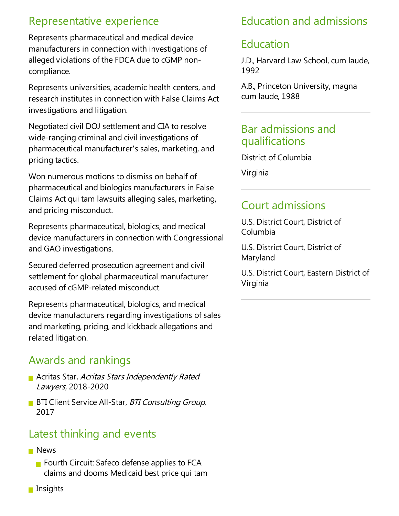## Representative experience

Represents pharmaceutical and medical device manufacturers in connection with investigations of alleged violations of the FDCA due to cGMP noncompliance.

Represents universities, academic health centers, and research institutes in connection with False Claims Act investigations and litigation.

Negotiated civil DOJ settlement and CIA to resolve wide-ranging criminal and civil investigations of pharmaceutical manufacturer's sales, marketing, and pricing tactics.

Won numerous motions to dismiss on behalf of pharmaceutical and biologics manufacturers in False Claims Act qui tam lawsuits alleging sales, marketing, and pricing misconduct.

Represents pharmaceutical, biologics, and medical device manufacturers in connection with Congressional and GAO investigations.

Secured deferred prosecution agreement and civil settlement for global pharmaceutical manufacturer accused of cGMP-related misconduct.

Represents pharmaceutical, biologics, and medical device manufacturers regarding investigations of sales and marketing, pricing, and kickback allegations and related litigation.

## Awards and rankings

- **Acritas Star, Acritas Stars Independently Rated** Lawyers, 2018-2020
- **BTI Client Service All-Star, BTI Consulting Group,** 2017

## Latest thinking and events

- **News** 
	- $\blacksquare$  Fourth Circuit: Safeco defense applies to FCA claims and dooms Medicaid best price qui tam
- **Insights**

## Education and admissions

#### Education

J.D., Harvard Law School, cum laude, 1992

A.B., Princeton University, magna cum laude, 1988

#### Bar admissions and qualifications

District of Columbia

Virginia

## Court admissions

U.S. District Court, District of Columbia

U.S. District Court, District of Maryland

U.S. District Court, Eastern District of Virginia